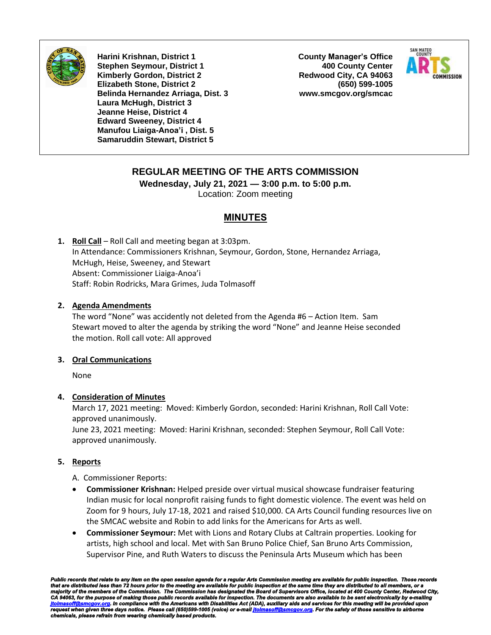

**Harini Krishnan, District 1 Stephen Seymour, District 1 Kimberly Gordon, District 2 Elizabeth Stone, District 2 Belinda Hernandez Arriaga, Dist. 3 Laura McHugh, District 3 Jeanne Heise, District 4 Edward Sweeney, District 4 Manufou Liaiga-Anoa'i , Dist. 5 Samaruddin Stewart, District 5**

**County Manager's Office 400 County Center Redwood City, CA 94063 (650) 599-1005 www.smcgov.org/smcac**



# **REGULAR MEETING OF THE ARTS COMMISSION**

**Wednesday, July 21, 2021 — 3:00 p.m. to 5:00 p.m.** Location: Zoom meeting

# **MINUTES**

**1. Roll Call** – Roll Call and meeting began at 3:03pm. In Attendance: Commissioners Krishnan, Seymour, Gordon, Stone, Hernandez Arriaga, McHugh, Heise, Sweeney, and Stewart Absent: Commissioner Liaiga-Anoa'i Staff: Robin Rodricks, Mara Grimes, Juda Tolmasoff

## **2. Agenda Amendments**

The word "None" was accidently not deleted from the Agenda #6 – Action Item. Sam Stewart moved to alter the agenda by striking the word "None" and Jeanne Heise seconded the motion. Roll call vote: All approved

#### **3. Oral Communications**

None

# **4. Consideration of Minutes**

March 17, 2021 meeting: Moved: Kimberly Gordon, seconded: Harini Krishnan, Roll Call Vote: approved unanimously.

June 23, 2021 meeting: Moved: Harini Krishnan, seconded: Stephen Seymour, Roll Call Vote: approved unanimously.

## **5. Reports**

A. Commissioner Reports:

- **Commissioner Krishnan:** Helped preside over virtual musical showcase fundraiser featuring Indian music for local nonprofit raising funds to fight domestic violence. The event was held on Zoom for 9 hours, July 17-18, 2021 and raised \$10,000. CA Arts Council funding resources live on the SMCAC website and Robin to add links for the Americans for Arts as well.
- **Commissioner Seymour:** Met with Lions and Rotary Clubs at Caltrain properties. Looking for artists, high school and local. Met with San Bruno Police Chief, San Bruno Arts Commission, Supervisor Pine, and Ruth Waters to discuss the Peninsula Arts Museum which has been

*Public records that relate to any item on the open session agenda for a regular Arts Commission meeting are available for public inspection. Those records*  that are distributed less than 72 hours prior to the meeting are available for public inspection at the same time they are distributed to all members, or a<br>majority of the members of the Commission. The Commission has desi *request when given three days notice. Please call (650)599-1005 (voice) or e-mai[l jtolmasoff@smcgov.org.](mailto:jtolmasoff@smcgov.org) For the safety of those sensitive to airborne chemicals, please refrain from wearing chemically based products.*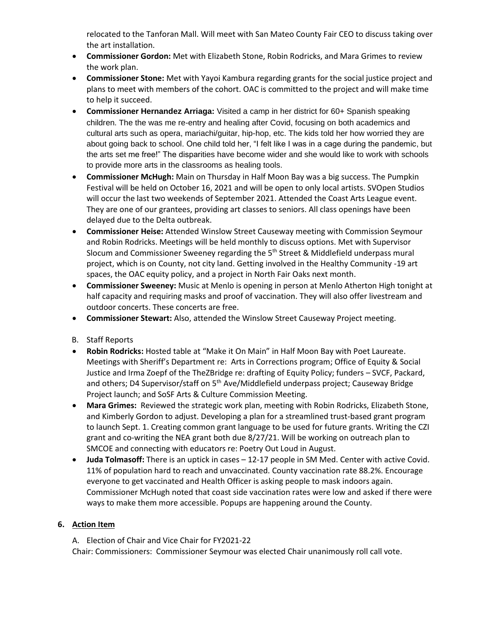relocated to the Tanforan Mall. Will meet with San Mateo County Fair CEO to discuss taking over the art installation.

- **Commissioner Gordon:** Met with Elizabeth Stone, Robin Rodricks, and Mara Grimes to review the work plan.
- **Commissioner Stone:** Met with Yayoi Kambura regarding grants for the social justice project and plans to meet with members of the cohort. OAC is committed to the project and will make time to help it succeed.
- **Commissioner Hernandez Arriaga:** Visited a camp in her district for 60+ Spanish speaking children. The the was me re-entry and healing after Covid, focusing on both academics and cultural arts such as opera, mariachi/guitar, hip-hop, etc. The kids told her how worried they are about going back to school. One child told her, "I felt like I was in a cage during the pandemic, but the arts set me free!" The disparities have become wider and she would like to work with schools to provide more arts in the classrooms as healing tools.
- **Commissioner McHugh:** Main on Thursday in Half Moon Bay was a big success. The Pumpkin Festival will be held on October 16, 2021 and will be open to only local artists. SVOpen Studios will occur the last two weekends of September 2021. Attended the Coast Arts League event. They are one of our grantees, providing art classes to seniors. All class openings have been delayed due to the Delta outbreak.
- **Commissioner Heise:** Attended Winslow Street Causeway meeting with Commission Seymour and Robin Rodricks. Meetings will be held monthly to discuss options. Met with Supervisor Slocum and Commissioner Sweeney regarding the  $5<sup>th</sup>$  Street & Middlefield underpass mural project, which is on County, not city land. Getting involved in the Healthy Community -19 art spaces, the OAC equity policy, and a project in North Fair Oaks next month.
- **Commissioner Sweeney:** Music at Menlo is opening in person at Menlo Atherton High tonight at half capacity and requiring masks and proof of vaccination. They will also offer livestream and outdoor concerts. These concerts are free.
- **Commissioner Stewart:** Also, attended the Winslow Street Causeway Project meeting.
- B. Staff Reports
- **Robin Rodricks:** Hosted table at "Make it On Main" in Half Moon Bay with Poet Laureate. Meetings with Sheriff's Department re: Arts in Corrections program; Office of Equity & Social Justice and Irma Zoepf of the TheZBridge re: drafting of Equity Policy; funders – SVCF, Packard, and others; D4 Supervisor/staff on 5<sup>th</sup> Ave/Middlefield underpass project; Causeway Bridge Project launch; and SoSF Arts & Culture Commission Meeting.
- **Mara Grimes:** Reviewed the strategic work plan, meeting with Robin Rodricks, Elizabeth Stone, and Kimberly Gordon to adjust. Developing a plan for a streamlined trust-based grant program to launch Sept. 1. Creating common grant language to be used for future grants. Writing the CZI grant and co-writing the NEA grant both due 8/27/21. Will be working on outreach plan to SMCOE and connecting with educators re: Poetry Out Loud in August.
- **Juda Tolmasoff:** There is an uptick in cases 12-17 people in SM Med. Center with active Covid. 11% of population hard to reach and unvaccinated. County vaccination rate 88.2%. Encourage everyone to get vaccinated and Health Officer is asking people to mask indoors again. Commissioner McHugh noted that coast side vaccination rates were low and asked if there were ways to make them more accessible. Popups are happening around the County.

# **6. Action Item**

A. Election of Chair and Vice Chair for FY2021-22 Chair: Commissioners: Commissioner Seymour was elected Chair unanimously roll call vote.